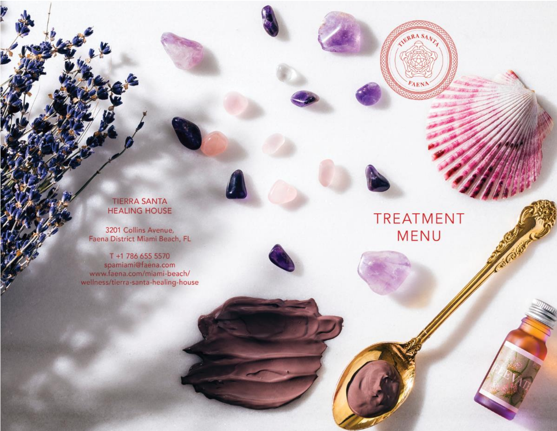## **TIERRA SANTA HEALING HOUSE**

**ILERRA SAV** 

FAEN

**TREATMENT** 

**MENU** 

Ŕ

3201 Collins Avenue,<br>Faena District Miami Beach, FL

T +1 786 655 5570 spamiami@faena.com www.faena.com/miami-beach/ wellness/tierra-santa-healing-house